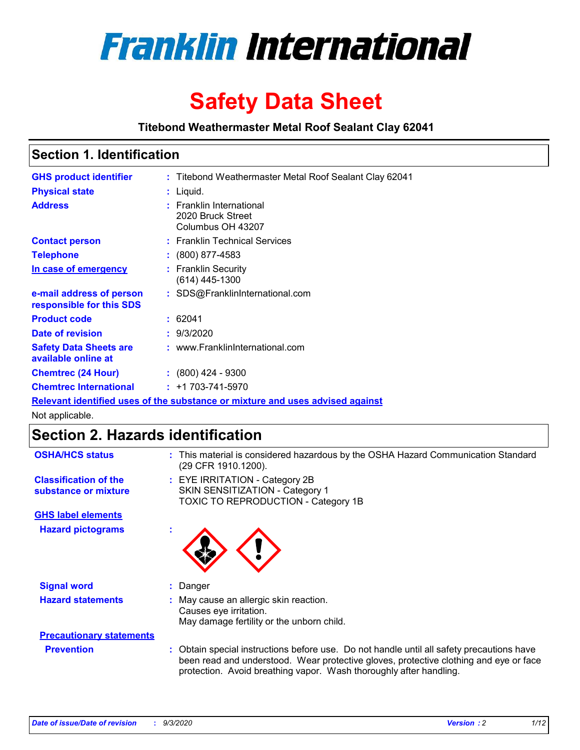

# **Safety Data Sheet**

**Titebond Weathermaster Metal Roof Sealant Clay 62041**

### **Section 1. Identification**

| <b>GHS product identifier</b>                                                 |  | : Titebond Weathermaster Metal Roof Sealant Clay 62041             |  |  |
|-------------------------------------------------------------------------------|--|--------------------------------------------------------------------|--|--|
| <b>Physical state</b>                                                         |  | : Liquid.                                                          |  |  |
| <b>Address</b>                                                                |  | : Franklin International<br>2020 Bruck Street<br>Columbus OH 43207 |  |  |
| <b>Contact person</b>                                                         |  | : Franklin Technical Services                                      |  |  |
| <b>Telephone</b>                                                              |  | $\colon$ (800) 877-4583                                            |  |  |
| In case of emergency                                                          |  | : Franklin Security<br>(614) 445-1300                              |  |  |
| e-mail address of person<br>responsible for this SDS                          |  | : SDS@FranklinInternational.com                                    |  |  |
| <b>Product code</b>                                                           |  | : 62041                                                            |  |  |
| Date of revision                                                              |  | : 9/3/2020                                                         |  |  |
| <b>Safety Data Sheets are</b><br>available online at                          |  | : www.FranklinInternational.com                                    |  |  |
| <b>Chemtrec (24 Hour)</b>                                                     |  | $\div$ (800) 424 - 9300                                            |  |  |
| <b>Chemtrec International</b>                                                 |  | $: +1703 - 741 - 5970$                                             |  |  |
| Relevant identified uses of the substance or mixture and uses advised against |  |                                                                    |  |  |

Not applicable.

# **Section 2. Hazards identification**

| <b>OSHA/HCS status</b>                               |    | : This material is considered hazardous by the OSHA Hazard Communication Standard<br>(29 CFR 1910.1200).                                                                                                                                                 |
|------------------------------------------------------|----|----------------------------------------------------------------------------------------------------------------------------------------------------------------------------------------------------------------------------------------------------------|
| <b>Classification of the</b><br>substance or mixture |    | : EYE IRRITATION - Category 2B<br>SKIN SENSITIZATION - Category 1<br>TOXIC TO REPRODUCTION - Category 1B                                                                                                                                                 |
| <b>GHS label elements</b>                            |    |                                                                                                                                                                                                                                                          |
| <b>Hazard pictograms</b>                             | ٠  |                                                                                                                                                                                                                                                          |
| <b>Signal word</b>                                   | ÷. | Danger                                                                                                                                                                                                                                                   |
| <b>Hazard statements</b>                             |    | May cause an allergic skin reaction.<br>Causes eye irritation.<br>May damage fertility or the unborn child.                                                                                                                                              |
| <b>Precautionary statements</b>                      |    |                                                                                                                                                                                                                                                          |
| <b>Prevention</b>                                    |    | : Obtain special instructions before use. Do not handle until all safety precautions have<br>been read and understood. Wear protective gloves, protective clothing and eye or face<br>protection. Avoid breathing vapor. Wash thoroughly after handling. |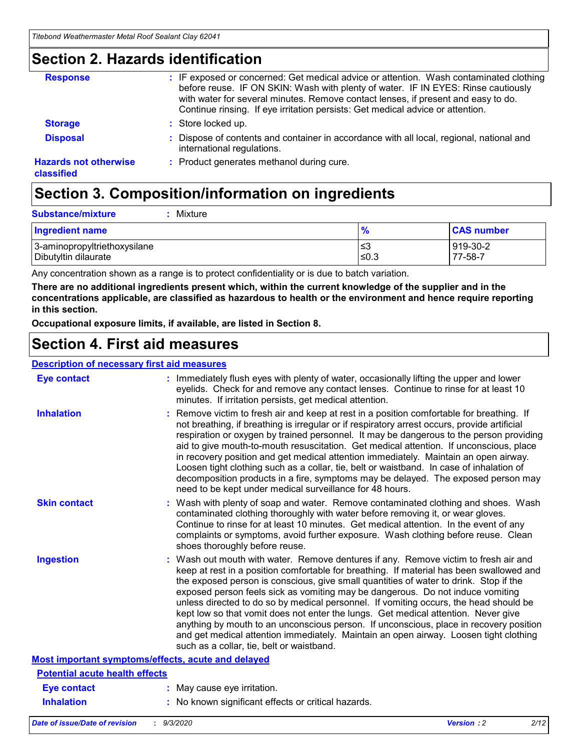### **Section 2. Hazards identification**

| <b>Response</b>                            | : IF exposed or concerned: Get medical advice or attention. Wash contaminated clothing<br>before reuse. IF ON SKIN: Wash with plenty of water. IF IN EYES: Rinse cautiously<br>with water for several minutes. Remove contact lenses, if present and easy to do.<br>Continue rinsing. If eye irritation persists: Get medical advice or attention. |
|--------------------------------------------|----------------------------------------------------------------------------------------------------------------------------------------------------------------------------------------------------------------------------------------------------------------------------------------------------------------------------------------------------|
| <b>Storage</b>                             | : Store locked up.                                                                                                                                                                                                                                                                                                                                 |
| <b>Disposal</b>                            | : Dispose of contents and container in accordance with all local, regional, national and<br>international regulations.                                                                                                                                                                                                                             |
| <b>Hazards not otherwise</b><br>classified | : Product generates methanol during cure.                                                                                                                                                                                                                                                                                                          |

# **Section 3. Composition/information on ingredients**

| <b>Substance/mixture</b> |  | : Mixture |
|--------------------------|--|-----------|
|--------------------------|--|-----------|

| <b>Ingredient name</b>       | $\frac{9}{6}$ | <b>CAS number</b> |
|------------------------------|---------------|-------------------|
| 3-aminopropyltriethoxysilane | ≤3            | 919-30-2          |
| Dibutyltin dilaurate         | ∣≤0.3         | 77-58-7           |

Any concentration shown as a range is to protect confidentiality or is due to batch variation.

**There are no additional ingredients present which, within the current knowledge of the supplier and in the concentrations applicable, are classified as hazardous to health or the environment and hence require reporting in this section.**

**Occupational exposure limits, if available, are listed in Section 8.**

### **Section 4. First aid measures**

| <b>Description of necessary first aid measures</b> |                                                                                                                                                                                                                                                                                                                                                                                                                                                                                                                                                                                                                                                                                                                                                                           |
|----------------------------------------------------|---------------------------------------------------------------------------------------------------------------------------------------------------------------------------------------------------------------------------------------------------------------------------------------------------------------------------------------------------------------------------------------------------------------------------------------------------------------------------------------------------------------------------------------------------------------------------------------------------------------------------------------------------------------------------------------------------------------------------------------------------------------------------|
| <b>Eye contact</b>                                 | : Immediately flush eyes with plenty of water, occasionally lifting the upper and lower<br>eyelids. Check for and remove any contact lenses. Continue to rinse for at least 10<br>minutes. If irritation persists, get medical attention.                                                                                                                                                                                                                                                                                                                                                                                                                                                                                                                                 |
| <b>Inhalation</b>                                  | : Remove victim to fresh air and keep at rest in a position comfortable for breathing. If<br>not breathing, if breathing is irregular or if respiratory arrest occurs, provide artificial<br>respiration or oxygen by trained personnel. It may be dangerous to the person providing<br>aid to give mouth-to-mouth resuscitation. Get medical attention. If unconscious, place<br>in recovery position and get medical attention immediately. Maintain an open airway.<br>Loosen tight clothing such as a collar, tie, belt or waistband. In case of inhalation of<br>decomposition products in a fire, symptoms may be delayed. The exposed person may<br>need to be kept under medical surveillance for 48 hours.                                                       |
| <b>Skin contact</b>                                | : Wash with plenty of soap and water. Remove contaminated clothing and shoes. Wash<br>contaminated clothing thoroughly with water before removing it, or wear gloves.<br>Continue to rinse for at least 10 minutes. Get medical attention. In the event of any<br>complaints or symptoms, avoid further exposure. Wash clothing before reuse. Clean<br>shoes thoroughly before reuse.                                                                                                                                                                                                                                                                                                                                                                                     |
| <b>Ingestion</b>                                   | : Wash out mouth with water. Remove dentures if any. Remove victim to fresh air and<br>keep at rest in a position comfortable for breathing. If material has been swallowed and<br>the exposed person is conscious, give small quantities of water to drink. Stop if the<br>exposed person feels sick as vomiting may be dangerous. Do not induce vomiting<br>unless directed to do so by medical personnel. If vomiting occurs, the head should be<br>kept low so that vomit does not enter the lungs. Get medical attention. Never give<br>anything by mouth to an unconscious person. If unconscious, place in recovery position<br>and get medical attention immediately. Maintain an open airway. Loosen tight clothing<br>such as a collar, tie, belt or waistband. |
| Most important symptoms/effects, acute and delayed |                                                                                                                                                                                                                                                                                                                                                                                                                                                                                                                                                                                                                                                                                                                                                                           |
| <b>Potential acute health effects</b>              |                                                                                                                                                                                                                                                                                                                                                                                                                                                                                                                                                                                                                                                                                                                                                                           |
| <b>Eye contact</b>                                 | : May cause eye irritation.                                                                                                                                                                                                                                                                                                                                                                                                                                                                                                                                                                                                                                                                                                                                               |
| <b>Inhalation</b>                                  | : No known significant effects or critical hazards.                                                                                                                                                                                                                                                                                                                                                                                                                                                                                                                                                                                                                                                                                                                       |
|                                                    |                                                                                                                                                                                                                                                                                                                                                                                                                                                                                                                                                                                                                                                                                                                                                                           |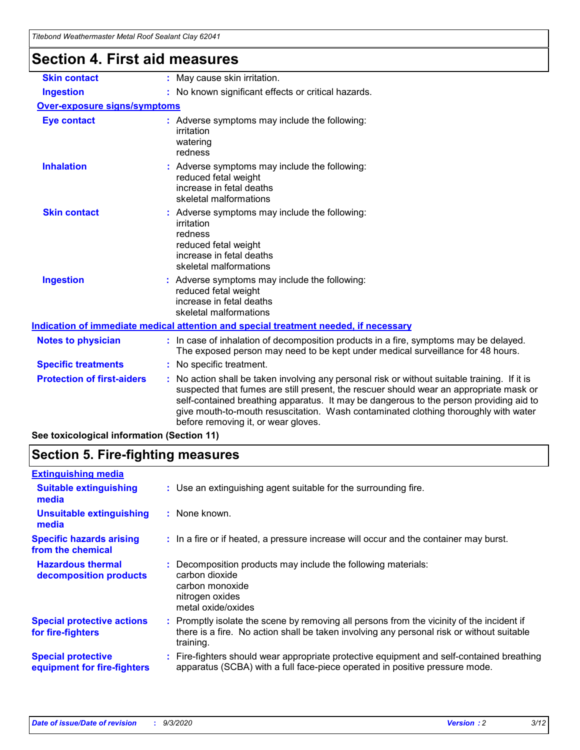| <u>Hiebonu wealnemiasier MetarKoor Sealant Clay 6204 r</u> |                                                                                                                                                                                                                                                                                                                                                                                                               |
|------------------------------------------------------------|---------------------------------------------------------------------------------------------------------------------------------------------------------------------------------------------------------------------------------------------------------------------------------------------------------------------------------------------------------------------------------------------------------------|
| <b>Section 4. First aid measures</b>                       |                                                                                                                                                                                                                                                                                                                                                                                                               |
| <b>Skin contact</b>                                        | : May cause skin irritation.                                                                                                                                                                                                                                                                                                                                                                                  |
| <b>Ingestion</b>                                           | : No known significant effects or critical hazards.                                                                                                                                                                                                                                                                                                                                                           |
| <b>Over-exposure signs/symptoms</b>                        |                                                                                                                                                                                                                                                                                                                                                                                                               |
| <b>Eye contact</b>                                         | : Adverse symptoms may include the following:<br>irritation<br>watering<br>redness                                                                                                                                                                                                                                                                                                                            |
| <b>Inhalation</b>                                          | : Adverse symptoms may include the following:<br>reduced fetal weight<br>increase in fetal deaths<br>skeletal malformations                                                                                                                                                                                                                                                                                   |
| <b>Skin contact</b>                                        | : Adverse symptoms may include the following:<br>irritation<br>redness<br>reduced fetal weight<br>increase in fetal deaths<br>skeletal malformations                                                                                                                                                                                                                                                          |
| <b>Ingestion</b>                                           | : Adverse symptoms may include the following:<br>reduced fetal weight<br>increase in fetal deaths<br>skeletal malformations                                                                                                                                                                                                                                                                                   |
|                                                            | Indication of immediate medical attention and special treatment needed, if necessary                                                                                                                                                                                                                                                                                                                          |
| <b>Notes to physician</b>                                  | : In case of inhalation of decomposition products in a fire, symptoms may be delayed.<br>The exposed person may need to be kept under medical surveillance for 48 hours.                                                                                                                                                                                                                                      |
| <b>Specific treatments</b>                                 | : No specific treatment.                                                                                                                                                                                                                                                                                                                                                                                      |
| <b>Protection of first-aiders</b>                          | No action shall be taken involving any personal risk or without suitable training. If it is<br>suspected that fumes are still present, the rescuer should wear an appropriate mask or<br>self-contained breathing apparatus. It may be dangerous to the person providing aid to<br>give mouth-to-mouth resuscitation. Wash contaminated clothing thoroughly with water<br>before removing it, or wear gloves. |
| See toxicological information (Section 11)                 |                                                                                                                                                                                                                                                                                                                                                                                                               |

# **Section 5. Fire-fighting measures**

| <b>Extinguishing media</b>                               |                                                                                                                                                                                                     |
|----------------------------------------------------------|-----------------------------------------------------------------------------------------------------------------------------------------------------------------------------------------------------|
| <b>Suitable extinguishing</b><br>media                   | : Use an extinguishing agent suitable for the surrounding fire.                                                                                                                                     |
| <b>Unsuitable extinguishing</b><br>media                 | : None known.                                                                                                                                                                                       |
| <b>Specific hazards arising</b><br>from the chemical     | : In a fire or if heated, a pressure increase will occur and the container may burst.                                                                                                               |
| <b>Hazardous thermal</b><br>decomposition products       | Decomposition products may include the following materials:<br>carbon dioxide<br>carbon monoxide<br>nitrogen oxides<br>metal oxide/oxides                                                           |
| <b>Special protective actions</b><br>for fire-fighters   | : Promptly isolate the scene by removing all persons from the vicinity of the incident if<br>there is a fire. No action shall be taken involving any personal risk or without suitable<br>training. |
| <b>Special protective</b><br>equipment for fire-fighters | Fire-fighters should wear appropriate protective equipment and self-contained breathing<br>apparatus (SCBA) with a full face-piece operated in positive pressure mode.                              |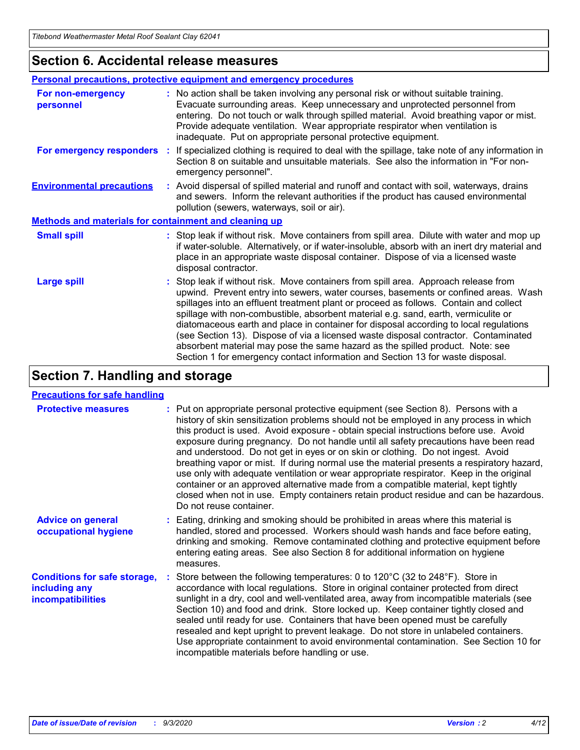### **Section 6. Accidental release measures**

|                                                              | Personal precautions, protective equipment and emergency procedures                                                                                                                                                                                                                                                                                                                                                                                                                                                                                                                                                                                                                                          |  |  |  |
|--------------------------------------------------------------|--------------------------------------------------------------------------------------------------------------------------------------------------------------------------------------------------------------------------------------------------------------------------------------------------------------------------------------------------------------------------------------------------------------------------------------------------------------------------------------------------------------------------------------------------------------------------------------------------------------------------------------------------------------------------------------------------------------|--|--|--|
| For non-emergency<br>personnel                               | : No action shall be taken involving any personal risk or without suitable training.<br>Evacuate surrounding areas. Keep unnecessary and unprotected personnel from<br>entering. Do not touch or walk through spilled material. Avoid breathing vapor or mist.<br>Provide adequate ventilation. Wear appropriate respirator when ventilation is<br>inadequate. Put on appropriate personal protective equipment.                                                                                                                                                                                                                                                                                             |  |  |  |
| For emergency responders                                     | : If specialized clothing is required to deal with the spillage, take note of any information in<br>Section 8 on suitable and unsuitable materials. See also the information in "For non-<br>emergency personnel".                                                                                                                                                                                                                                                                                                                                                                                                                                                                                           |  |  |  |
| <b>Environmental precautions</b>                             | : Avoid dispersal of spilled material and runoff and contact with soil, waterways, drains<br>and sewers. Inform the relevant authorities if the product has caused environmental<br>pollution (sewers, waterways, soil or air).                                                                                                                                                                                                                                                                                                                                                                                                                                                                              |  |  |  |
| <b>Methods and materials for containment and cleaning up</b> |                                                                                                                                                                                                                                                                                                                                                                                                                                                                                                                                                                                                                                                                                                              |  |  |  |
| <b>Small spill</b>                                           | : Stop leak if without risk. Move containers from spill area. Dilute with water and mop up<br>if water-soluble. Alternatively, or if water-insoluble, absorb with an inert dry material and<br>place in an appropriate waste disposal container. Dispose of via a licensed waste<br>disposal contractor.                                                                                                                                                                                                                                                                                                                                                                                                     |  |  |  |
| <b>Large spill</b>                                           | : Stop leak if without risk. Move containers from spill area. Approach release from<br>upwind. Prevent entry into sewers, water courses, basements or confined areas. Wash<br>spillages into an effluent treatment plant or proceed as follows. Contain and collect<br>spillage with non-combustible, absorbent material e.g. sand, earth, vermiculite or<br>diatomaceous earth and place in container for disposal according to local regulations<br>(see Section 13). Dispose of via a licensed waste disposal contractor. Contaminated<br>absorbent material may pose the same hazard as the spilled product. Note: see<br>Section 1 for emergency contact information and Section 13 for waste disposal. |  |  |  |

### **Section 7. Handling and storage**

#### **Precautions for safe handling**

| <b>Protective measures</b>                                                       | : Put on appropriate personal protective equipment (see Section 8). Persons with a<br>history of skin sensitization problems should not be employed in any process in which<br>this product is used. Avoid exposure - obtain special instructions before use. Avoid<br>exposure during pregnancy. Do not handle until all safety precautions have been read<br>and understood. Do not get in eyes or on skin or clothing. Do not ingest. Avoid<br>breathing vapor or mist. If during normal use the material presents a respiratory hazard,<br>use only with adequate ventilation or wear appropriate respirator. Keep in the original<br>container or an approved alternative made from a compatible material, kept tightly<br>closed when not in use. Empty containers retain product residue and can be hazardous.<br>Do not reuse container. |
|----------------------------------------------------------------------------------|--------------------------------------------------------------------------------------------------------------------------------------------------------------------------------------------------------------------------------------------------------------------------------------------------------------------------------------------------------------------------------------------------------------------------------------------------------------------------------------------------------------------------------------------------------------------------------------------------------------------------------------------------------------------------------------------------------------------------------------------------------------------------------------------------------------------------------------------------|
| <b>Advice on general</b><br>occupational hygiene                                 | : Eating, drinking and smoking should be prohibited in areas where this material is<br>handled, stored and processed. Workers should wash hands and face before eating,<br>drinking and smoking. Remove contaminated clothing and protective equipment before<br>entering eating areas. See also Section 8 for additional information on hygiene<br>measures.                                                                                                                                                                                                                                                                                                                                                                                                                                                                                    |
| <b>Conditions for safe storage,</b><br>including any<br><i>incompatibilities</i> | Store between the following temperatures: 0 to $120^{\circ}$ C (32 to $248^{\circ}$ F). Store in<br>accordance with local regulations. Store in original container protected from direct<br>sunlight in a dry, cool and well-ventilated area, away from incompatible materials (see<br>Section 10) and food and drink. Store locked up. Keep container tightly closed and<br>sealed until ready for use. Containers that have been opened must be carefully<br>resealed and kept upright to prevent leakage. Do not store in unlabeled containers.<br>Use appropriate containment to avoid environmental contamination. See Section 10 for<br>incompatible materials before handling or use.                                                                                                                                                     |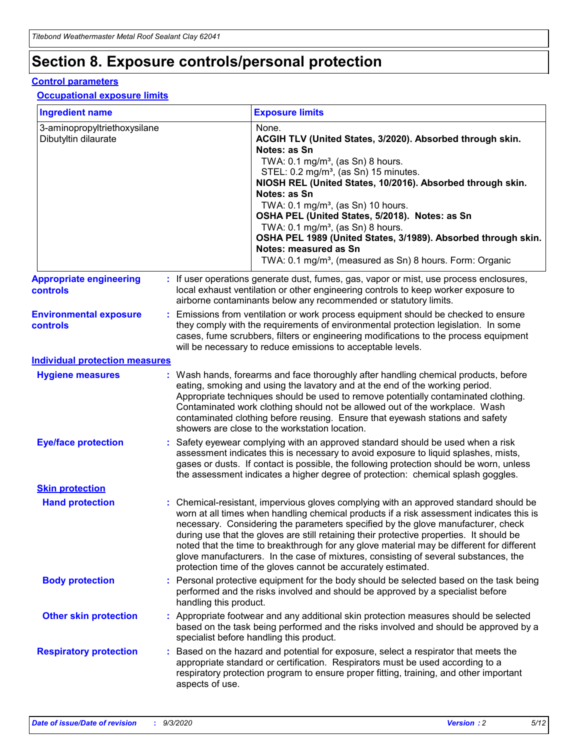# **Section 8. Exposure controls/personal protection**

#### **Control parameters**

#### **Occupational exposure limits**

| <b>Ingredient name</b>                               |    |                        | <b>Exposure limits</b>                                                                                                                                                                                                                                                                                                                                                                                                                                                                                                                                                                                                 |
|------------------------------------------------------|----|------------------------|------------------------------------------------------------------------------------------------------------------------------------------------------------------------------------------------------------------------------------------------------------------------------------------------------------------------------------------------------------------------------------------------------------------------------------------------------------------------------------------------------------------------------------------------------------------------------------------------------------------------|
| 3-aminopropyltriethoxysilane<br>Dibutyltin dilaurate |    |                        | None.<br>ACGIH TLV (United States, 3/2020). Absorbed through skin.<br>Notes: as Sn<br>TWA: $0.1 \text{ mg/m}^3$ , (as Sn) 8 hours.<br>STEL: 0.2 mg/m <sup>3</sup> , (as Sn) 15 minutes.<br>NIOSH REL (United States, 10/2016). Absorbed through skin.<br>Notes: as Sn<br>TWA: 0.1 mg/m <sup>3</sup> , (as Sn) 10 hours.<br>OSHA PEL (United States, 5/2018). Notes: as Sn<br>TWA: $0.1 \text{ mg/m}^3$ , (as Sn) 8 hours.<br>OSHA PEL 1989 (United States, 3/1989). Absorbed through skin.<br>Notes: measured as Sn<br>TWA: 0.1 mg/m <sup>3</sup> , (measured as Sn) 8 hours. Form: Organic                            |
| <b>Appropriate engineering</b><br>controls           |    |                        | : If user operations generate dust, fumes, gas, vapor or mist, use process enclosures,<br>local exhaust ventilation or other engineering controls to keep worker exposure to<br>airborne contaminants below any recommended or statutory limits.                                                                                                                                                                                                                                                                                                                                                                       |
| <b>Environmental exposure</b><br><b>controls</b>     |    |                        | Emissions from ventilation or work process equipment should be checked to ensure<br>they comply with the requirements of environmental protection legislation. In some<br>cases, fume scrubbers, filters or engineering modifications to the process equipment<br>will be necessary to reduce emissions to acceptable levels.                                                                                                                                                                                                                                                                                          |
| <b>Individual protection measures</b>                |    |                        |                                                                                                                                                                                                                                                                                                                                                                                                                                                                                                                                                                                                                        |
| <b>Hygiene measures</b>                              |    |                        | : Wash hands, forearms and face thoroughly after handling chemical products, before<br>eating, smoking and using the lavatory and at the end of the working period.<br>Appropriate techniques should be used to remove potentially contaminated clothing.<br>Contaminated work clothing should not be allowed out of the workplace. Wash<br>contaminated clothing before reusing. Ensure that eyewash stations and safety<br>showers are close to the workstation location.                                                                                                                                            |
| <b>Eye/face protection</b>                           |    |                        | Safety eyewear complying with an approved standard should be used when a risk<br>assessment indicates this is necessary to avoid exposure to liquid splashes, mists,<br>gases or dusts. If contact is possible, the following protection should be worn, unless<br>the assessment indicates a higher degree of protection: chemical splash goggles.                                                                                                                                                                                                                                                                    |
| <b>Skin protection</b>                               |    |                        |                                                                                                                                                                                                                                                                                                                                                                                                                                                                                                                                                                                                                        |
| <b>Hand protection</b>                               |    |                        | : Chemical-resistant, impervious gloves complying with an approved standard should be<br>worn at all times when handling chemical products if a risk assessment indicates this is<br>necessary. Considering the parameters specified by the glove manufacturer, check<br>during use that the gloves are still retaining their protective properties. It should be<br>noted that the time to breakthrough for any glove material may be different for different<br>glove manufacturers. In the case of mixtures, consisting of several substances, the<br>protection time of the gloves cannot be accurately estimated. |
| <b>Body protection</b>                               |    | handling this product. | Personal protective equipment for the body should be selected based on the task being<br>performed and the risks involved and should be approved by a specialist before                                                                                                                                                                                                                                                                                                                                                                                                                                                |
| <b>Other skin protection</b>                         |    |                        | Appropriate footwear and any additional skin protection measures should be selected<br>based on the task being performed and the risks involved and should be approved by a<br>specialist before handling this product.                                                                                                                                                                                                                                                                                                                                                                                                |
| <b>Respiratory protection</b>                        | ÷. | aspects of use.        | Based on the hazard and potential for exposure, select a respirator that meets the<br>appropriate standard or certification. Respirators must be used according to a<br>respiratory protection program to ensure proper fitting, training, and other important                                                                                                                                                                                                                                                                                                                                                         |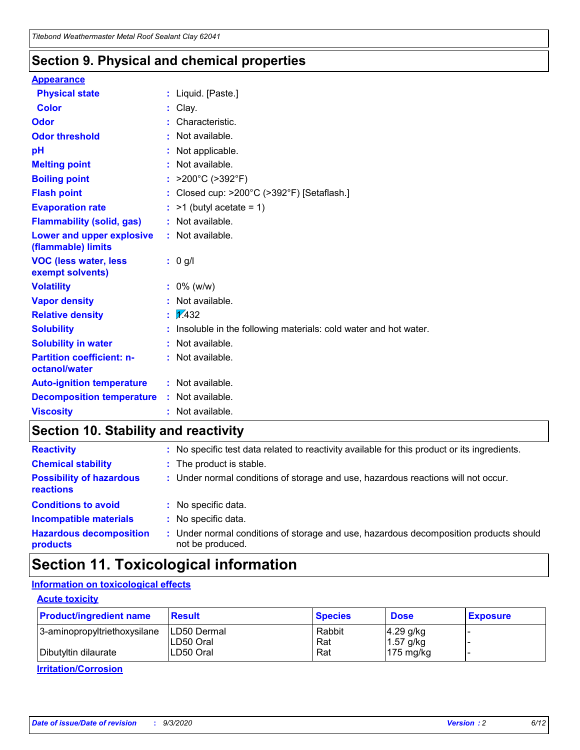### **Section 9. Physical and chemical properties**

#### **Appearance**

| <b>Physical state</b>                             | : Liquid. [Paste.]                                              |
|---------------------------------------------------|-----------------------------------------------------------------|
| <b>Color</b>                                      | Clay.                                                           |
| Odor                                              | Characteristic.                                                 |
| <b>Odor threshold</b>                             | Not available.                                                  |
| pH                                                | Not applicable.                                                 |
| <b>Melting point</b>                              | : Not available.                                                |
| <b>Boiling point</b>                              | : $>200^{\circ}$ C ( $>392^{\circ}$ F)                          |
| <b>Flash point</b>                                | Closed cup: >200°C (>392°F) [Setaflash.]                        |
| <b>Evaporation rate</b>                           | $:$ >1 (butyl acetate = 1)                                      |
| <b>Flammability (solid, gas)</b>                  | : Not available.                                                |
| Lower and upper explosive<br>(flammable) limits   | $:$ Not available.                                              |
| <b>VOC (less water, less</b><br>exempt solvents)  | : 0 g/l                                                         |
| <b>Volatility</b>                                 | $: 0\%$ (w/w)                                                   |
| <b>Vapor density</b>                              | Not available.                                                  |
| <b>Relative density</b>                           | $\frac{1}{2}$ 2.432                                             |
| <b>Solubility</b>                                 | Insoluble in the following materials: cold water and hot water. |
| <b>Solubility in water</b>                        | Not available.                                                  |
| <b>Partition coefficient: n-</b><br>octanol/water | : Not available.                                                |
| <b>Auto-ignition temperature</b>                  | : Not available.                                                |
| <b>Decomposition temperature</b>                  | $:$ Not available.                                              |
| <b>Viscosity</b>                                  | $:$ Not available.                                              |

### **Section 10. Stability and reactivity**

| <b>Reactivity</b>                            |    | : No specific test data related to reactivity available for this product or its ingredients.            |
|----------------------------------------------|----|---------------------------------------------------------------------------------------------------------|
| <b>Chemical stability</b>                    |    | : The product is stable.                                                                                |
| <b>Possibility of hazardous</b><br>reactions |    | : Under normal conditions of storage and use, hazardous reactions will not occur.                       |
| <b>Conditions to avoid</b>                   |    | : No specific data.                                                                                     |
| <b>Incompatible materials</b>                | ٠. | No specific data.                                                                                       |
| <b>Hazardous decomposition</b><br>products   | ÷. | Under normal conditions of storage and use, hazardous decomposition products should<br>not be produced. |

### **Section 11. Toxicological information**

#### **Information on toxicological effects**

#### **Acute toxicity**

| <b>Product/ingredient name</b> | <b>Result</b>           | <b>Species</b> | <b>Dose</b>                | <b>Exposure</b> |
|--------------------------------|-------------------------|----------------|----------------------------|-----------------|
| 3-aminopropyltriethoxysilane   | <b>ILD50 Dermal</b>     | Rabbit         | 4.29 g/kg                  |                 |
| Dibutyltin dilaurate           | ILD50 Oral<br>LD50 Oral | Rat<br>Rat     | $1.57$ g/kg<br>175 $mg/kg$ |                 |
|                                |                         |                |                            |                 |

**Irritation/Corrosion**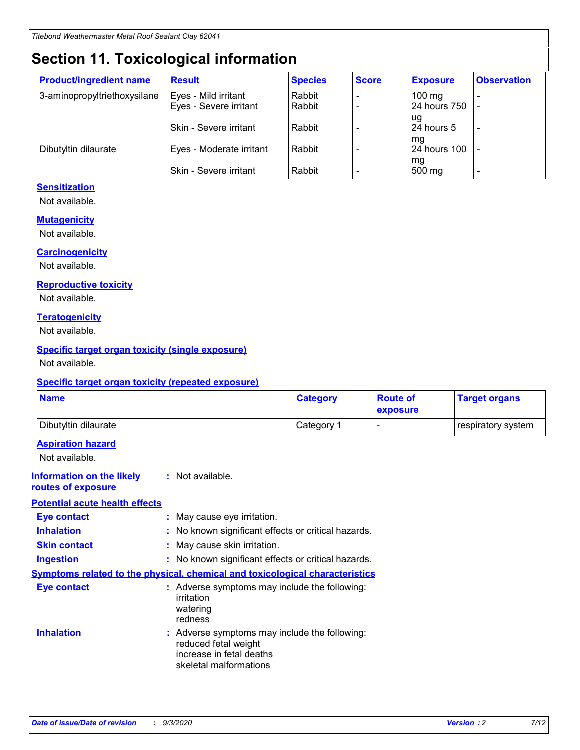# **Section 11. Toxicological information**

| <b>Product/ingredient name</b> | <b>Result</b>                 | <b>Species</b> | <b>Score</b> | <b>Exposure</b>    | <b>Observation</b> |
|--------------------------------|-------------------------------|----------------|--------------|--------------------|--------------------|
| 3-aminopropyltriethoxysilane   | Eyes - Mild irritant          | Rabbit         |              | $100 \text{ mg}$   |                    |
|                                | Eyes - Severe irritant        | Rabbit         |              | 24 hours 750       |                    |
|                                |                               |                |              | ug                 |                    |
|                                | <b>Skin - Severe irritant</b> | Rabbit         |              | 24 hours 5         | -                  |
| Dibutyltin dilaurate           | Eyes - Moderate irritant      | Rabbit         |              | mq<br>24 hours 100 |                    |
|                                |                               |                |              | mg                 |                    |
|                                | Skin - Severe irritant        | Rabbit         |              | 500 mg             |                    |

#### **Sensitization**

Not available.

#### **Mutagenicity**

Not available.

#### **Carcinogenicity**

Not available.

#### **Reproductive toxicity**

Not available.

#### **Teratogenicity**

Not available.

#### **Specific target organ toxicity (single exposure)**

Not available.

#### **Specific target organ toxicity (repeated exposure)**

| <b>Name</b>                                                                         |                                                                            | <b>Category</b>                                     | <b>Route of</b><br>exposure | <b>Target organs</b> |  |  |
|-------------------------------------------------------------------------------------|----------------------------------------------------------------------------|-----------------------------------------------------|-----------------------------|----------------------|--|--|
| Dibutyltin dilaurate                                                                |                                                                            | Category 1                                          | -                           | respiratory system   |  |  |
| <b>Aspiration hazard</b><br>Not available.                                          |                                                                            |                                                     |                             |                      |  |  |
| <b>Information on the likely</b><br>routes of exposure                              | : Not available.                                                           |                                                     |                             |                      |  |  |
| <b>Potential acute health effects</b>                                               |                                                                            |                                                     |                             |                      |  |  |
| <b>Eye contact</b>                                                                  | : May cause eye irritation.                                                |                                                     |                             |                      |  |  |
| <b>Inhalation</b>                                                                   |                                                                            | : No known significant effects or critical hazards. |                             |                      |  |  |
| <b>Skin contact</b>                                                                 |                                                                            | : May cause skin irritation.                        |                             |                      |  |  |
| <b>Ingestion</b>                                                                    |                                                                            | : No known significant effects or critical hazards. |                             |                      |  |  |
| <b>Symptoms related to the physical, chemical and toxicological characteristics</b> |                                                                            |                                                     |                             |                      |  |  |
| <b>Eye contact</b>                                                                  | irritation<br>watering<br>redness                                          | : Adverse symptoms may include the following:       |                             |                      |  |  |
| <b>Inhalation</b>                                                                   | reduced fetal weight<br>increase in fetal deaths<br>skeletal malformations | : Adverse symptoms may include the following:       |                             |                      |  |  |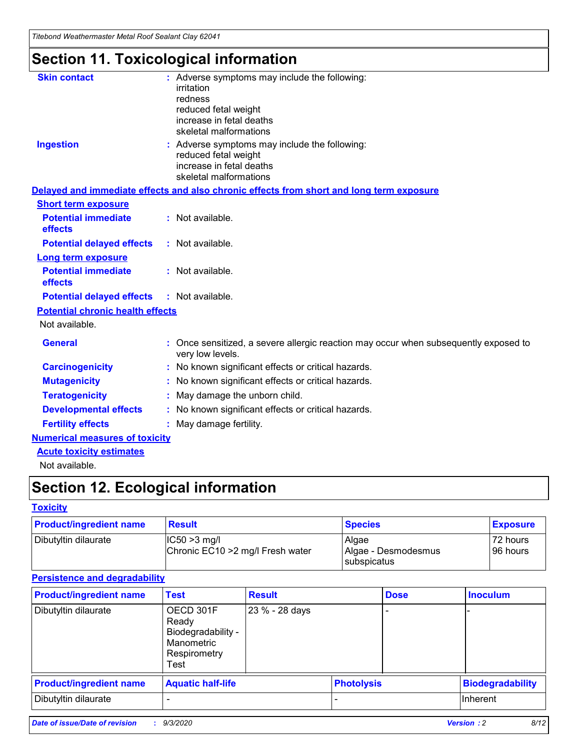*Titebond Weathermaster Metal Roof Sealant Clay 62041*

# **Section 11. Toxicological information**

| <b>Skin contact</b>                     | : Adverse symptoms may include the following:<br>irritation                                                                 |  |
|-----------------------------------------|-----------------------------------------------------------------------------------------------------------------------------|--|
|                                         | redness                                                                                                                     |  |
|                                         | reduced fetal weight<br>increase in fetal deaths                                                                            |  |
|                                         | skeletal malformations                                                                                                      |  |
| <b>Ingestion</b>                        | : Adverse symptoms may include the following:<br>reduced fetal weight<br>increase in fetal deaths<br>skeletal malformations |  |
|                                         | Delayed and immediate effects and also chronic effects from short and long term exposure                                    |  |
| <b>Short term exposure</b>              |                                                                                                                             |  |
| <b>Potential immediate</b><br>effects   | : Not available.                                                                                                            |  |
| <b>Potential delayed effects</b>        | : Not available.                                                                                                            |  |
| <b>Long term exposure</b>               |                                                                                                                             |  |
| <b>Potential immediate</b><br>effects   | : Not available.                                                                                                            |  |
| <b>Potential delayed effects</b>        | : Not available.                                                                                                            |  |
| <b>Potential chronic health effects</b> |                                                                                                                             |  |
| Not available.                          |                                                                                                                             |  |
| <b>General</b>                          | Once sensitized, a severe allergic reaction may occur when subsequently exposed to<br>very low levels.                      |  |
| <b>Carcinogenicity</b>                  | : No known significant effects or critical hazards.                                                                         |  |
| <b>Mutagenicity</b>                     | : No known significant effects or critical hazards.                                                                         |  |
| <b>Teratogenicity</b>                   | May damage the unborn child.                                                                                                |  |
| <b>Developmental effects</b>            | : No known significant effects or critical hazards.                                                                         |  |
| <b>Fertility effects</b>                | May damage fertility.                                                                                                       |  |
| <b>Numerical measures of toxicity</b>   |                                                                                                                             |  |
| <b>Acute toxicity estimates</b>         |                                                                                                                             |  |
| الملحلة والمستحقق فالمرابط              |                                                                                                                             |  |

Not available.

# **Section 12. Ecological information**

#### **Toxicity**

| <b>Product/ingredient name</b> | <b>Result</b>                                       | <b>Species</b>               | <b>Exposure</b>       |
|--------------------------------|-----------------------------------------------------|------------------------------|-----------------------|
| Dibutyltin dilaurate           | $ CC50>3$ mg/l<br>Chronic EC10 > 2 mg/l Fresh water | Algae<br>Algae - Desmodesmus | 72 hours<br>196 hours |
|                                |                                                     | <b>I</b> subspicatus         |                       |

#### **Persistence and degradability**

| <b>Product/ingredient name</b> | <b>Test</b>                                                                    | <b>Result</b>  |                   | <b>Dose</b> | <b>Inoculum</b>         |
|--------------------------------|--------------------------------------------------------------------------------|----------------|-------------------|-------------|-------------------------|
| Dibutyltin dilaurate           | OECD 301F<br>Ready<br>Biodegradability -<br>Manometric<br>Respirometry<br>Test | 23 % - 28 days |                   |             |                         |
| <b>Product/ingredient name</b> | <b>Aquatic half-life</b>                                                       |                | <b>Photolysis</b> |             | <b>Biodegradability</b> |
| Dibutyltin dilaurate           |                                                                                |                |                   |             | <b>Inherent</b>         |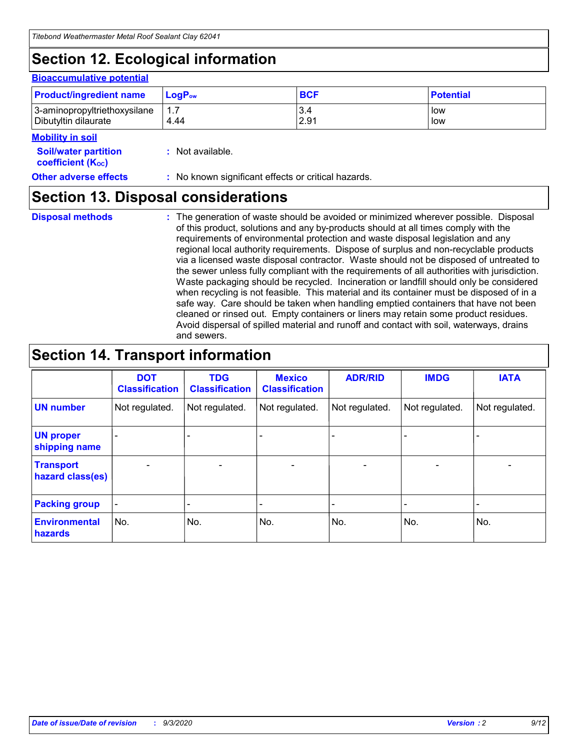# **Section 12. Ecological information**

#### **Bioaccumulative potential**

| <b>Product/ingredient name</b> | $LoaPow$ | <b>BCF</b> | <b>Potential</b> |
|--------------------------------|----------|------------|------------------|
| 3-aminopropyltriethoxysilane   | 1.7      | 3.4        | low              |
| Dibutyltin dilaurate           | 4.44     | 2.91       | low              |

#### **Mobility in soil**

| INVMIILV III JVII                                       |                                                     |
|---------------------------------------------------------|-----------------------------------------------------|
| <b>Soil/water partition</b><br><b>coefficient (Koc)</b> | : Not available.                                    |
| <b>Other adverse effects</b>                            | : No known significant effects or critical hazards. |

# **Section 13. Disposal considerations**

**Disposal methods :**

The generation of waste should be avoided or minimized wherever possible. Disposal of this product, solutions and any by-products should at all times comply with the requirements of environmental protection and waste disposal legislation and any regional local authority requirements. Dispose of surplus and non-recyclable products via a licensed waste disposal contractor. Waste should not be disposed of untreated to the sewer unless fully compliant with the requirements of all authorities with jurisdiction. Waste packaging should be recycled. Incineration or landfill should only be considered when recycling is not feasible. This material and its container must be disposed of in a safe way. Care should be taken when handling emptied containers that have not been cleaned or rinsed out. Empty containers or liners may retain some product residues. Avoid dispersal of spilled material and runoff and contact with soil, waterways, drains and sewers.

### **Section 14. Transport information**

|                                      | <b>DOT</b><br><b>Classification</b> | <b>TDG</b><br><b>Classification</b> | <b>Mexico</b><br><b>Classification</b> | <b>ADR/RID</b>           | <b>IMDG</b>              | <b>IATA</b>    |
|--------------------------------------|-------------------------------------|-------------------------------------|----------------------------------------|--------------------------|--------------------------|----------------|
| <b>UN number</b>                     | Not regulated.                      | Not regulated.                      | Not regulated.                         | Not regulated.           | Not regulated.           | Not regulated. |
| <b>UN proper</b><br>shipping name    |                                     |                                     |                                        |                          |                          |                |
| <b>Transport</b><br>hazard class(es) |                                     | $\overline{\phantom{0}}$            | $\qquad \qquad \blacksquare$           | $\overline{\phantom{0}}$ | $\overline{\phantom{0}}$ |                |
| <b>Packing group</b>                 |                                     |                                     |                                        |                          |                          |                |
| <b>Environmental</b><br>hazards      | No.                                 | No.                                 | No.                                    | No.                      | No.                      | No.            |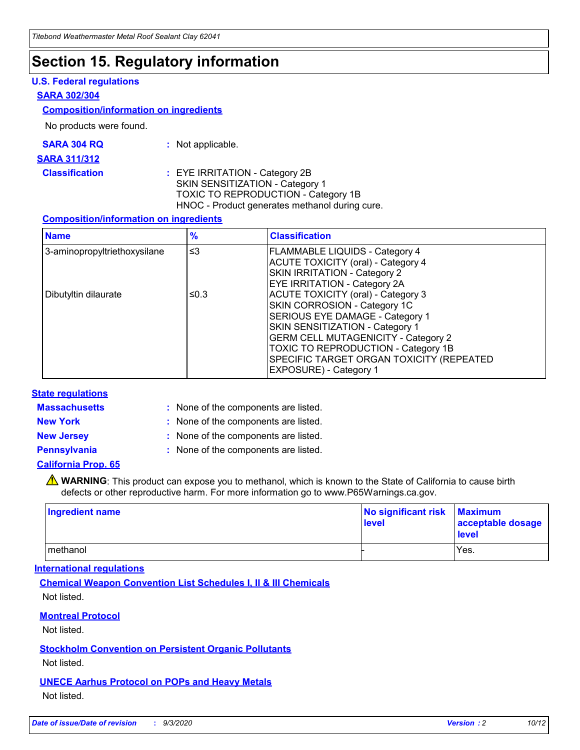### **Section 15. Regulatory information**

#### **U.S. Federal regulations**

#### **SARA 302/304**

#### **Composition/information on ingredients**

No products were found.

| SARA 304 RQ | Not applicable. |
|-------------|-----------------|
|-------------|-----------------|

#### **SARA 311/312**

#### **Classification :** EYE IRRITATION - Category 2B SKIN SENSITIZATION - Category 1 TOXIC TO REPRODUCTION - Category 1B HNOC - Product generates methanol during cure.

#### **Composition/information on ingredients**

| <b>Name</b>                  | $\frac{9}{6}$ | <b>Classification</b>                                                                                                                                                                                                                                                                                      |
|------------------------------|---------------|------------------------------------------------------------------------------------------------------------------------------------------------------------------------------------------------------------------------------------------------------------------------------------------------------------|
| 3-aminopropyltriethoxysilane | $\leq$ 3      | <b>FLAMMABLE LIQUIDS - Category 4</b><br><b>ACUTE TOXICITY (oral) - Category 4</b><br><b>SKIN IRRITATION - Category 2</b><br>EYE IRRITATION - Category 2A                                                                                                                                                  |
| Dibutyltin dilaurate         | ≤0.3          | <b>ACUTE TOXICITY (oral) - Category 3</b><br>SKIN CORROSION - Category 1C<br>SERIOUS EYE DAMAGE - Category 1<br>SKIN SENSITIZATION - Category 1<br><b>GERM CELL MUTAGENICITY - Category 2</b><br>TOXIC TO REPRODUCTION - Category 1B<br>SPECIFIC TARGET ORGAN TOXICITY (REPEATED<br>EXPOSURE) - Category 1 |

#### **State regulations**

**Massachusetts :**

: None of the components are listed.

**New York :** None of the components are listed.

**New Jersey :** None of the components are listed.

**Pennsylvania :** None of the components are listed.

#### **California Prop. 65**

WARNING: This product can expose you to methanol, which is known to the State of California to cause birth defects or other reproductive harm. For more information go to www.P65Warnings.ca.gov.

| Ingredient name | No significant risk Maximum<br>level | acceptable dosage<br><b>level</b> |
|-----------------|--------------------------------------|-----------------------------------|
| I methanol      |                                      | Yes.                              |

#### **International regulations**

**Chemical Weapon Convention List Schedules I, II & III Chemicals** Not listed.

#### **Montreal Protocol**

Not listed.

**Stockholm Convention on Persistent Organic Pollutants**

Not listed.

#### **UNECE Aarhus Protocol on POPs and Heavy Metals** Not listed.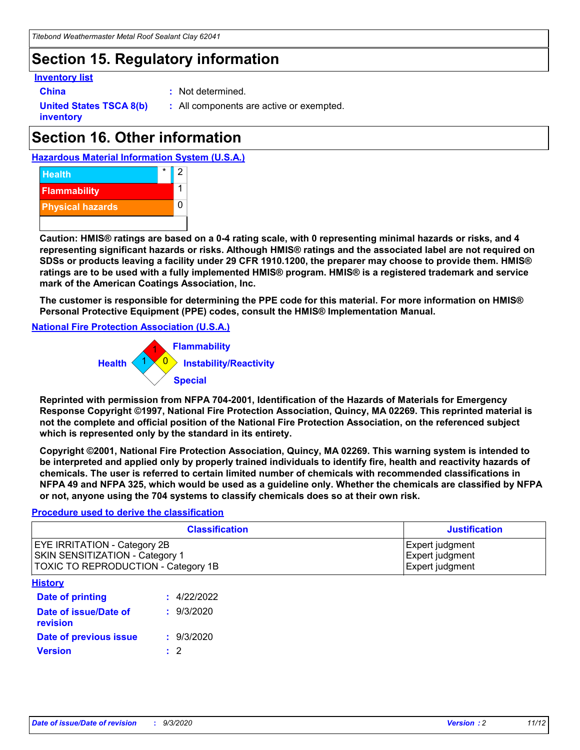# **Section 15. Regulatory information**

#### **Inventory list**

- 
- **China :** Not determined.

**United States TSCA 8(b) inventory**

**:** All components are active or exempted.

# **Section 16. Other information**





**Caution: HMIS® ratings are based on a 0-4 rating scale, with 0 representing minimal hazards or risks, and 4 representing significant hazards or risks. Although HMIS® ratings and the associated label are not required on SDSs or products leaving a facility under 29 CFR 1910.1200, the preparer may choose to provide them. HMIS® ratings are to be used with a fully implemented HMIS® program. HMIS® is a registered trademark and service mark of the American Coatings Association, Inc.**

**The customer is responsible for determining the PPE code for this material. For more information on HMIS® Personal Protective Equipment (PPE) codes, consult the HMIS® Implementation Manual.**

**National Fire Protection Association (U.S.A.)**



**Reprinted with permission from NFPA 704-2001, Identification of the Hazards of Materials for Emergency Response Copyright ©1997, National Fire Protection Association, Quincy, MA 02269. This reprinted material is not the complete and official position of the National Fire Protection Association, on the referenced subject which is represented only by the standard in its entirety.**

**Copyright ©2001, National Fire Protection Association, Quincy, MA 02269. This warning system is intended to be interpreted and applied only by properly trained individuals to identify fire, health and reactivity hazards of chemicals. The user is referred to certain limited number of chemicals with recommended classifications in NFPA 49 and NFPA 325, which would be used as a guideline only. Whether the chemicals are classified by NFPA or not, anyone using the 704 systems to classify chemicals does so at their own risk.**

#### **Procedure used to derive the classification**

| <b>Classification</b>                                                                                                | <b>Justification</b>                                  |
|----------------------------------------------------------------------------------------------------------------------|-------------------------------------------------------|
| <b>EYE IRRITATION - Category 2B</b><br><b>SKIN SENSITIZATION - Category 1</b><br>TOXIC TO REPRODUCTION - Category 1B | Expert judgment<br>Expert judgment<br>Expert judgment |
| <b>History</b>                                                                                                       |                                                       |

| .                                 |             |
|-----------------------------------|-------------|
| Date of printing                  | : 4/22/2022 |
| Date of issue/Date of<br>revision | : 9/3/2020  |
| Date of previous issue            | : 9/3/2020  |
| <b>Version</b>                    | $\cdot$ 2   |
|                                   |             |